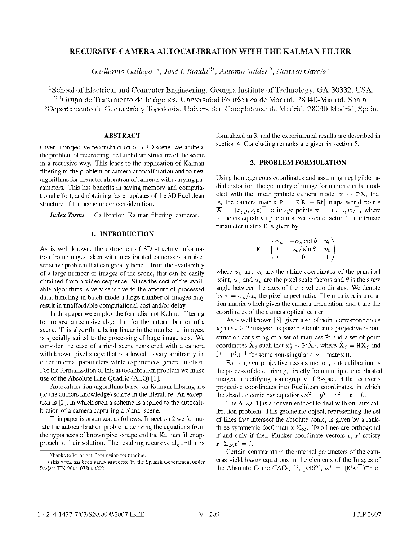## RECURSIVE CAMERA AUTOCALIBRATION WITH THE KALMAN FILTER

Guillermo Gallego <sup>1\*</sup>, José I. Ronda <sup>21</sup>, Antonio Valdés <sup>3</sup>, Narciso García <sup>4</sup>

'School of Electrical and Computer Engineering. Georgia Institute of Technology. GA-30332, USA. <sup>2,4</sup> Grupo de Tratamiento de Imágenes. Universidad Politécnica de Madrid. 28040-Madrid, Spain. <sup>3</sup>Departamento de Geometría y Topología. Universidad Complutense de Madrid. 28040-Madrid, Spain.

## ABSTRACT

Given a projective reconstruction of a 3D scene, we address the problem of recovering the Euclidean structure of the scene in a recursive way. This leads to the application of Kalman filtering to the problem of camera autocalibration and to new algorithms for the autocalibration of cameras with varying parameters. This has benefits in saving memory and computational effort, and obtaining faster updates of the 3D Euclidean structure of the scene under consideration.

**Index Terms**— Calibration, Kalman filtering, cameras.

### 1. INTRODUCTION

As is well known, the extraction of 3D structure information from images taken with uncalibrated cameras is a noisesensitive problem that can greatly benefit from the availability of a large number of images of the scene, that can be easily obtained from a video sequence. Since the cost of the available algorithms is very sensitive to the amount of processed data, handling in batch mode a large number of images may result in unaffordable computational cost and/or delay.

In this paper we employ the formalism of Kalman filtering to propose a recursive algorithm for the autocalibration of a scene. This algorithm, being linear in the number of images, is specially suited to the processing of large image sets. We consider the case of a rigid scene registered with a camera with known pixel shape that is allowed to vary arbitrarily its other internal parameters while experiences general motion. For the formalization of this autocalibration problem we make use of the Absolute Line Quadric (ALQ) [1].

Autocalibration algorithms based on Kalman filtering are (to the authors knowledge) scarce in the literature. An exception is [2], in which such a scheme is applied to the autocalibration of a camera capturing a planar scene.

This paper is organized as follows. In section 2 we formulate the autocalibration problem, deriving the equations from the hypothesis of known pixel-shape and the Kalman filter approach to their solution. The resulting recursive algorithm is formalized in 3, and the experimental results are described in section 4. Concluding remarks are given in section 5.

# 2. PROBLEM FORMULATION

Using homogeneous coordinates and assuming negligible radial distortion, the geometry of image formation can be modeled with the linear pinhole camera model  $x \sim PX$ , that is, the camera matrix  $P = K[R] - Rt$  maps world points  $\mathbf{X} = (x, y, z, t)^\top$  to image points  $\mathbf{x} = (u, v, w)^\top$ , where  $\sim$  means equality up to a non-zero scale factor. The intrinsic parameter matrix K is given by

$$
\mathbf{K} = \begin{pmatrix} \alpha_u & -\alpha_u \cot \theta & u_0 \\ 0 & \alpha_v / \sin \theta & v_0 \\ 0 & 0 & 1 \end{pmatrix},
$$

where  $u_0$  and  $v_0$  are the affine coordinates of the principal point,  $\alpha_u$  and  $\alpha_v$  are the pixel scale factors and  $\theta$  is the skew angle between the axes of the pixel coordinates. We denote by  $\tau = \alpha_u/\alpha_v$  the pixel aspect ratio. The matrix R is a rotation matrix which gives the camera orientation, and t are the coordinates of the camera optical center.

As is well known [3], given a set of point correspondences  $x_i^i$  in  $m \ge 2$  images it is possible to obtain a projective reconstruction consisting of a set of matrices  $\hat{P}^i$  and a set of point coordinates  $\hat{\mathbf{X}}_j$  such that  $\mathbf{x}_j^i \sim \hat{\mathbf{P}}^i \hat{\mathbf{X}}_j$ , where  $\hat{\mathbf{X}}_j = \mathbf{H} \mathbf{X}_j$  and  $\hat{P}^i = P^i H^{-1}$  for some non-singular  $4 \times 4$  matrix H.

For a given projective reconstruction, autocalibration is the process of determining, directly from multiple uncalibrated images, a rectifying homography of 3-space H that converts projective coordinates into Euclidean coordinates, in which the absolute conic has equations  $x^2 + y^2 + z^2 = t = 0$ .

The ALQ [1] is <sup>a</sup> convenient tool to deal with our autocalibration problem. This geometric object, representing the set of lines that intersect the absolute conic, is given by a rankthree symmetric  $6\times 6$  matrix  $\Sigma_{\infty}$ . Two lines are orthogonal if and only if their Plücker coordinate vectors  $r, r'$  satisfy  $\mathbf{r}^\top \Sigma_{\infty} \mathbf{r}' = 0.$ 

Certain constraints in the internal parameters of the cameras yield linear equations in the elements of the Images of the Absolute Conic (IACs) [3, p.462],  $\omega^i = (K^i K^{i\top})^{-1}$  or

Thanks to Fulbright Commision for funding.

<sup>&</sup>lt;sup>†</sup>This work has been partly supported by the Spanish Government under Project TIN-2004-07860-C02.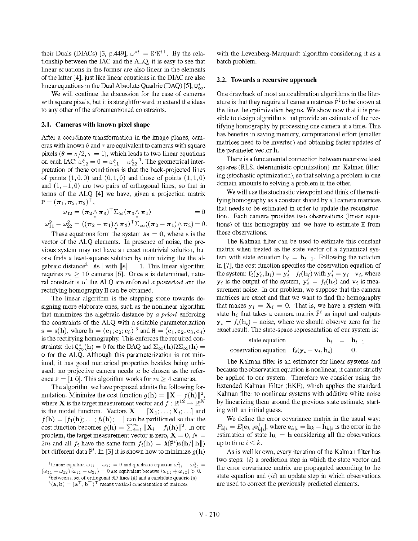their Duals (DIACs) [3, p.449],  $\omega^{*i} = K^i K^{i\top}$ . By the relationship between the IAC and the ALQ, it is easy to see that linear equations in the former are also linear in the elements of the latter [4], just like linear equations in the DIAC are also linear equations in the Dual Absolute Quadric (DAQ) [5],  $Q_{\infty}^*$ .

We will continue the discussion for the case of cameras with square pixels, but it is straightforward to extend the ideas to any other of the aforementioned constraints.

#### 2.1. Cameras with known pixel shape

After a coordinate transformation in the image planes, cameras with known  $\theta$  and  $\tau$  are equivalent to cameras with square pixels ( $\theta = \pi/2$ ,  $\tau = 1$ ), which leads to two linear equations on each IAC:  $\omega_{12}^i = 0 = \omega_{11}^i - \omega_{22}^i$ <sup>1</sup>. The geometrical interpretation of these conditions is that the back-projected lines of points  $(1, 0, 0)$  and  $(0, 1, 0)$  and those of points  $(1, 1, 0)$ and  $(1, -1, 0)$  are two pairs of orthogonal lines, so that in terms of the ALQ [4] we have, given <sup>a</sup> projection matrix  $P = (\pi_1, \pi_2, \pi_3)^\top$ ,

$$
\omega_{12} = (\pi_2 \wedge \pi_3)^{\top} \Sigma_{\infty} (\pi_3 \wedge \pi_1) = 0
$$

$$
\omega_{11}^2 - \omega_{22}^2 = ((\pi_2 + \pi_1) \wedge \pi_3)^{\top} \Sigma_{\infty} ((\pi_2 - \pi_1) \wedge \pi_3) = 0.
$$

These equations form the system  $As = 0$ , where s is the vector of the ALQ elements. In presence of noise, the previous system may not have an exact nontrivial solution, but one finds a least-squares solution by minimizing the the algebraic distance<sup>2</sup>  $\|\text{As}\|$  with  $\|\text{s}\| = 1$ . This linear algorithm requires  $m > 10$  cameras [6]. Once s is determined, natural constraints of the ALQ are enforced <sup>a</sup> posteriori and the rectifying homography H can be obtained.

The linear algorithm is the stepping stone towards designing more elaborate ones, such as the nonlinear algorithm that minimizes the algebraic distance by a priori enforcing the constraints of the ALQ with <sup>a</sup> suitable parameterization  $s = s(h)$ , where  $h = (c_1, c_2, c_3)^3$  and  $H = (c_1, c_2, c_3, c_4)$ is the rectifying homography. This enforces the required constraints: det  $\mathbf{Q}^*_{\infty}(\mathbf{h}) = 0$  for the DAQ and  $\Sigma_{\infty}(\mathbf{h})\Omega\Sigma_{\infty}(\mathbf{h}) =$ 0 for the ALQ. Although this parameterization is not minimal, it has good numerical properties besides being unbiased: no projective camera needs to be chosen as the reference P = [I|0]. This algorithm works for  $m \geq 4$  cameras.

The algorithm we have proposed admits the following formulation. Minimize the cost function  $q(\mathbf{h}) = ||\mathbf{X} - f(\mathbf{h})||^2$ . where **X** is the target measurement vector and  $f : \mathbb{R}^{12} \to \mathbb{R}^N$ is the model function. Vectors  $X = [\mathbf{X}_1; \dots; \mathbf{X}_i; \dots]$  and  $f(\mathbf{h}) = [f_1(\mathbf{h}); \dots; f_i(\mathbf{h}); \dots]$  can be partitioned so that the cost function becomes  $g(\mathbf{h}) = \sum_{i=1}^{m} ||\mathbf{X}_i - f_i(\mathbf{h})||^2$ . In our problem, the target measurement vector is zero,  $\mathbf{X} = 0, N$ 2m and all  $f_i$  have the same form  $f_i(\mathbf{h}) = \mathbf{A}(\hat{P}^i) \mathbf{s}(\mathbf{h}/\|\mathbf{h}\|)$ but different data  $\hat{P}^i$ . In [3] it is shown how to minimize  $q(h)$ 

with the Levenberg-Marquardt algorithm considering it as a batch problem.

# 2.2. Towards a recursive approach

One drawback of most autocalibration algorithms in the literature is that they require all camera matrices  $\hat{P}^i$  to be known at the time the optimization begins. We show now that it is possible to design algorithms that provide an estimate of the rectifying homography by processing one camera at a time. This has benefits in saving memory, computational effort (smaller matrices need to be inverted) and obtaining faster updates of the parameter vector h.

There is a fundamental connection between recursive least squares (RLS, deterministic optimization) and Kalman filtering (stochastic optimization), so that solving a problem in one domain amounts to solving a problem in the other.

We will use the stochastic viewpoint and think of the rectifying homography as a constant shared by all camera matrices that needs to be estimated in order to update the reconstruction. Each camera provides two observations (linear equations) of this homography and we have to estimate H from these observations.

The Kalman filter can be used to estimate this constant matrix when treated as the state vector of a dynamical system with state equation  $h_i = h_{i-1}$ . Following the notation in [7], the cost function specifies the observation equation of the system:  $f_i(y'_i, h_i) = y'_i - f_i(h_i)$  with  $y'_i = y_i + v_i$ , where  $y_i$  is the output of the system,  $y'_i = f_i(h_i)$  and  $v_i$  is measurement noise. In our problem, we suppose that the camera matrices are exact and that we want to find the homography that makes  $y_i = X_i = 0$ . That is, we have a system with state  $h_i$  that takes a camera matrix  $\hat{P}^i$  as input and outputs  $y_i = f_i(h_i) + \text{noise}$ , where we should observe zero for the exact result. The state-space representation of our system is:

| state equation                                   |  | $\mathbf{h}_i = \mathbf{h}_{i-1}$ |
|--------------------------------------------------|--|-----------------------------------|
| observation equation $f_i(y_i + v_i, h_i) = 0$ . |  |                                   |

The Kalman filter is an estimator for linear systems and because the observation equation is nonlinear, it cannot strictly be applied to our system. Therefore we consider using the Extended Kalman Filter (EKF), which applies the standard Kalman filter to nonlinear systems with additive white noise by linearizing them around the previous state estimate, starting with an initial guess.

We define the error covariance matrix in the usual way:  $P_{k|i} = E[e_{k|i}e_{k|i}^{\top}]$ , where  $e_{k|i} = \mathbf{h}_k - \hat{\mathbf{h}}_{k|i}$  is the error in the estimation of state  $h_k = h$  considering all the observations up to time  $i < k$ .

As is well known, every iteration of the Kalman filter has two steps:  $(i)$  a prediction step in which the state vector and the error covariance matrix are propagated according to the state equation and  $(ii)$  an update step in which observations are used to correct the previously predicted elements.

<sup>&</sup>lt;sup>1</sup>Linear equation  $\omega_{11} - \omega_{22} = 0$  and quadratic equation  $\omega_{11}^2 - \omega_{22}^2 =$  $(\omega_{11} + \omega_{22}) (\omega_{11} - \omega_{22}) = 0$  are equivalent because  $(\omega_{11} + \omega_{22}) > 0$ .

<sup>&</sup>lt;sup>2</sup>between a set of orthogonal 3D lines (A) and a candidate quadric  $(s)$ 

 $\mathbf{3}(\mathbf{a}; \mathbf{b}) = (\mathbf{a}^\top, \mathbf{b}^\top)^\top$  means vertical concatenation of matrices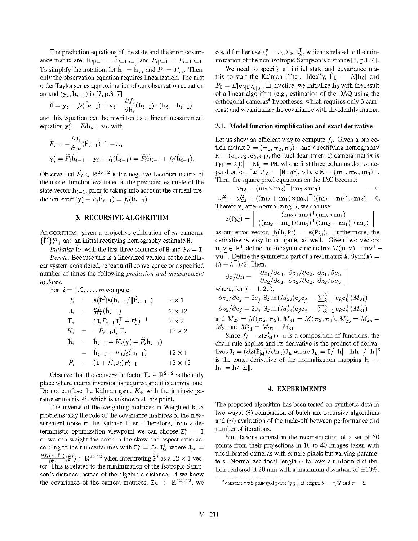The prediction equations of the state and the error covariance matrix are:  $\hat{h}_{i|i-1} = \hat{h}_{i-1|i-1}$  and  $P_{i|i-1} = P_{i-1|i-1}$ . To simplify the notation, let  $\hat{\mathbf{h}}_i = \hat{\mathbf{h}}_{i|i}$  and  $P_i = P_{i|i}$ . Then, only the observation equation requires linearization. The first order Taylor series approximation of our observation equation around  $(\mathbf{y}_i, \mathbf{h}_{i-1})$  is [7, p.317]

$$
0 = \mathbf{y}_i - f_i(\hat{\mathbf{h}}_{i-1}) + \mathbf{v}_i - \frac{\partial f_i}{\partial \mathbf{h}_i}(\hat{\mathbf{h}}_{i-1}) \cdot (\mathbf{h}_i - \hat{\mathbf{h}}_{i-1})
$$

and this equation can be rewritten as a linear measurement equation  $y'_i = F_i h_i + v_i$ , with

$$
\widetilde{F}_i = -\frac{\partial f_i}{\partial \mathbf{h}_i}(\hat{\mathbf{h}}_{i-1}) \doteq -\mathbf{J}_i,\mathbf{y}'_i = \widetilde{F}_i \hat{\mathbf{h}}_{i-1} - \mathbf{y}_i + f_i(\hat{\mathbf{h}}_{i-1}) = \widetilde{F}_i \hat{\mathbf{h}}_{i-1} + f_i(\hat{\mathbf{h}}_{i-1}).
$$

Observe that  $\widetilde{F}_i \in \mathbb{R}^{2 \times 12}$  is the negative Jacobian matrix of the model function evaluated at the predicted estimate of the state vector  $\hat{h}_{i-1}$ , prior to taking into account the current prediction error  $(\mathbf{y}'_i - \overline{F}_i \mathbf{h}_{i-1}) = f_i(\mathbf{h}_{i-1}).$ 

## 3. RECURSIVE ALGORITHM

ALGORITHM: given a projective calibration of  $m$  cameras,  $\{\hat{P}^i\}_{i=1}^m$  and an initial rectifying homography estimate H,

*Initialize*  $\hat{h}_0$  with the first three columns of H and  $P_0 = I$ .

Iterate. Because this is a linearized version of the nonlinear system considered, repeat until convergence or a specified number of times the following prediction and measurement updates.

For  $i = 1, 2, \ldots, m$  compute:

$$
f_i = A(\hat{P}^i) s(\hat{h}_{i-1}/\|\hat{h}_{i-1}\|) \qquad 2 \times 1
$$
  
\n
$$
J_i = \frac{\partial f_i}{\partial h}(\hat{h}_{i-1}) \qquad 2 \times 12
$$
  
\n
$$
\Gamma_i = (J_i P_{i-1} J_i^{\top} + \Sigma_i^v)^{-1} \qquad 2 \times 2
$$
  
\n
$$
K_i = -P_{i-1} J_i^{\top} \Gamma_i \qquad 12 \times 2
$$
  
\n
$$
\hat{h}_i = \hat{h}_{i-1} + K_i(\mathbf{y}'_i - \tilde{F}_i \hat{h}_{i-1})
$$
  
\n
$$
= \hat{h}_{i-1} + K_i f_i(\hat{h}_{i-1}) \qquad 12 \times 1
$$
  
\n
$$
P_i = (I + K_i J_i) P_{i-1} \qquad 12 \times 12
$$

Observe that the conversion factor  $\Gamma_i \in \mathbb{R}^{2 \times 2}$  is the only place where matrix inversion is required and it is a trivial one. Do not confuse the Kalman gain,  $K_i$ , with the intrinsic parameter matrix  $K^i$ , which is unknown at this point.

The inverse of the weighting matrices in Weighted RLS problems play the role of the covariance matrices of the measurement noise in the Kalman filter. Therefore, from a deterministic optimization viewpoint we can choose  $\Sigma_i^v = I$ or we can weight the error in the skew and aspect ratio according to their uncertainties with  $\Sigma_i^v = J_{\hat{p}^i} J_{\hat{p}^i}^\top$  where  $J_{\hat{p}^i}$  $\frac{\partial f_i(h_i,\hat{P}^i)}{\partial \hat{S}^i}(\hat{P}^i) \in \mathbb{R}^{2 \times 12}$  when interpreting  $\hat{P}^i$  as a  $12 \times 1$  vector. This is related to the minimization of the isotropic Sampson's distance instead of the algebraic distance. If we knew the covariance of the camera matrices,  $\Sigma_{\hat{P}^i} \in \mathbb{R}^{12 \times 12}$ , we

could further use  $\Sigma_i^v = J_{\hat{p}^i} \Sigma_{\hat{p}^i} J_{\hat{p}^i}^\top$ , which is related to the minimization of the non-isotropic Sampson's distance [3, p.1 14].

We need to specify an initial state and covariance matrix to start the Kalman Filter. Ideally,  $\hat{\mathbf{h}}_0 = E[\mathbf{h}_0]$  and  $P_0 = E[e_{0|0}e_{0|0}^{\top}]$ . In practice, we initialize  $\hat{h}_0$  with the result of <sup>a</sup> linear algorithm (e.g., estimation of the DAQ using the orthogonal cameras<sup>4</sup> hypotheses, which requires only 3 cameras) and we initialize the covariance with the identity matrix.

#### 3.1. Model function simplification and exact derivative

Let us show an efficient way to compute  $f_i$ . Given a projection matrix  $P = (\pi_1, \pi_2, \pi_3)^T$  and a rectifying homography  $H = (c_1, c_2, c_3, c_4)$ , the Euclidean (metric) camera matrix is  $P_M = K[R] - Rt$  = PH, whose first three columns do not depend on c<sub>4</sub>. Let  $P_M = [M] \mathbf{m}^4$ , where  $M = (\mathbf{m}_1, \mathbf{m}_2, \mathbf{m}_3)^T$ . Then, the square pixel equations on the IAC become:

$$
\nu_{12} = (\mathbf{m}_2 \times \mathbf{m}_3)^{\top} (\mathbf{m}_3 \times \mathbf{m}_1) = 0
$$

 $\omega_{11}^2 - \omega_{22}^2 = ((\mathbf{m}_2 + \mathbf{m}_1) \times \mathbf{m}_3)^{\top}((\mathbf{m}_2 - \mathbf{m}_1) \times \mathbf{m}_3) = 0.$ Therefore, after normalizing h, we can use

$$
\mathbf{z}(\mathrm{P}_\mathrm{M}) = \left[ \begin{array}{c} (\mathbf{m}_2 \times \mathbf{m}_3)^\top (\mathbf{m}_3 \times \mathbf{m}_1) \\ ((\mathbf{m}_2 + \mathbf{m}_1) \times \mathbf{m}_3)^\top ((\mathbf{m}_2 - \mathbf{m}_1) \times \mathbf{m}_3) \end{array} \right]
$$

as our error vector,  $f_i(h, P^*) = \mathbf{z}(P_M^*)$ . Furthermore, the derivative is easy to compute, as well. Given two vectors  $\mathbf{u}, \mathbf{v} \in \mathbb{R}^4$ , define the antisymmetric matrix  $M(\mathbf{u}, \mathbf{v}) = \mathbf{u}\mathbf{v}^\top$  $vu^{\top}$ . Define the symmetric part of a real matrix A, Sym(A) =  $(A + A^{\top})/2$ . Then,

$$
\partial \mathbf{z}/\partial \mathbf{h} = \begin{bmatrix} \partial z_1/\partial c_1, \ \partial z_1/\partial c_2, \ \partial z_1/\partial c_3 \\ \ \partial z_2/\partial c_1, \ \partial z_2/\partial c_2, \ \partial z_2/\partial c_3 \end{bmatrix}
$$
  
where, for  $j = 1, 2, 3$ ,  

$$
\partial z_1/\partial c_j = 2c_j^{\top} \text{Sym}(M_{23}(c_j c_j^{\top} - \sum_{k=1}^{3} c_k c_k^{\top})M_{31})
$$

$$
\partial z_2/\partial c_j = 2c_j^{\top} \text{Sym}(M_{23}'(c_j c_j^{\top} - \sum_{k=1}^{3} c_k c_k^{\top})M_{31}')
$$
  
and 
$$
M_{23} = M(\pi_2, \pi_3), M_{31} = M(\pi_3, \pi_1), M_{23}' = M_{23} - M_{31}
$$

$$
M_{31} \text{ and } M_{31}' = M_{23} + M_{31}.
$$

Since  $f_i = \mathbf{z}(\hat{P}_{M}^{i}) \circ u$  is a composition of functions, the chain rule applies and its derivative is the product of derivatives  $J_i = (\partial z(\hat{P}_{M}^{i})/\partial h_u)J_u$  where  $J_u = I/\|\mathbf{h}\| - \mathbf{h}\mathbf{h}^\top/\|\mathbf{h}\|^3$ is the exact derivative of the normalization mapping  $h \mapsto$  $\mathbf{h}_u = \mathbf{h}/\|\mathbf{h}\|.$ 

#### 4. EXPERIMENTS

The proposed algorithm has been tested on synthetic data in two ways:  $(i)$  comparison of batch and recursive algorithms and  $(ii)$  evaluation of the trade-off between performance and number of iterations.

Simulations consist in the reconstruction of a set of 50 points from their projections in 10 to 40 images taken with uncalibrated cameras with square pixels but varying parameters. Normalized focal length  $\alpha$  follows a uniform distribution centered at 20 mm with a maximum deviation of  $\pm 10\%$ .

<sup>&</sup>lt;sup>4</sup>cameras with principal point (p.p.) at origin,  $\theta = \pi/2$  and  $\tau = 1$ .